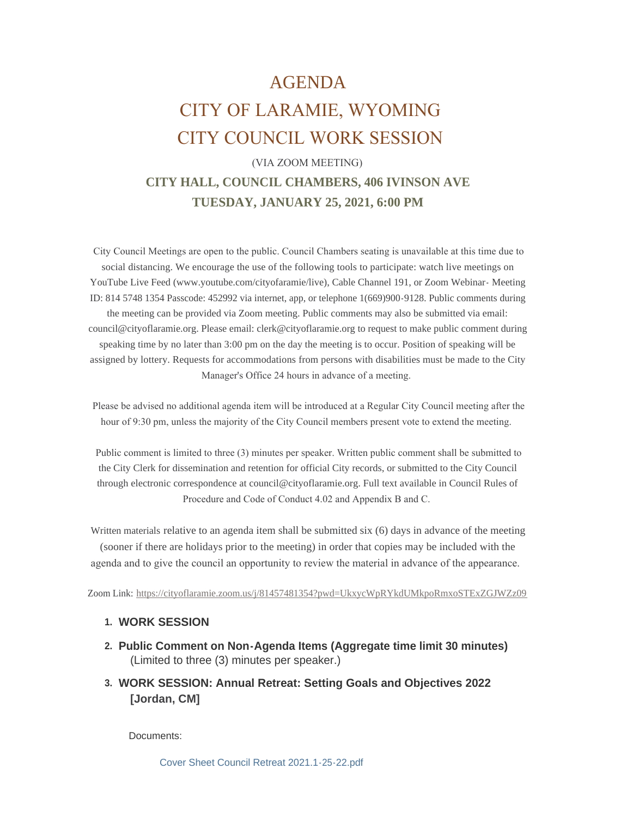# AGENDA CITY OF LARAMIE, WYOMING CITY COUNCIL WORK SESSION

# (VIA ZOOM MEETING) **CITY HALL, COUNCIL CHAMBERS, 406 IVINSON AVE TUESDAY, JANUARY 25, 2021, 6:00 PM**

 City Council Meetings are open to the public. Council Chambers seating is unavailable at this time due to social distancing. We encourage the use of the following tools to participate: watch live meetings on YouTube Live Feed (www.youtube.com/cityofaramie/live), Cable Channel 191, or Zoom Webinar- Meeting ID: 814 5748 1354 Passcode: 452992 via internet, app, or telephone 1(669)900-9128. Public comments during the meeting can be provided via Zoom meeting. Public comments may also be submitted via email: council@cityoflaramie.org. Please email: clerk@cityoflaramie.org to request to make public comment during speaking time by no later than 3:00 pm on the day the meeting is to occur. Position of speaking will be assigned by lottery. Requests for accommodations from persons with disabilities must be made to the City Manager's Office 24 hours in advance of a meeting.

 Please be advised no additional agenda item will be introduced at a Regular City Council meeting after the hour of 9:30 pm, unless the majority of the City Council members present vote to extend the meeting.

 Public comment is limited to three (3) minutes per speaker. Written public comment shall be submitted to the City Clerk for dissemination and retention for official City records, or submitted to the City Council through electronic correspondence at council@cityoflaramie.org. Full text available in Council Rules of Procedure and Code of Conduct 4.02 and Appendix B and C.

Written materials relative to an agenda item shall be submitted six (6) days in advance of the meeting (sooner if there are holidays prior to the meeting) in order that copies may be included with the agenda and to give the council an opportunity to review the material in advance of the appearance.

Zoom Link: <https://cityoflaramie.zoom.us/j/81457481354?pwd=UkxycWpRYkdUMkpoRmxoSTExZGJWZz09>

#### **WORK SESSION 1.**

- **Public Comment on Non-Agenda Items (Aggregate time limit 30 minutes) 2.** (Limited to three (3) minutes per speaker.)
- **WORK SESSION: Annual Retreat: Setting Goals and Objectives 2022 3. [Jordan, CM]**

Documents: